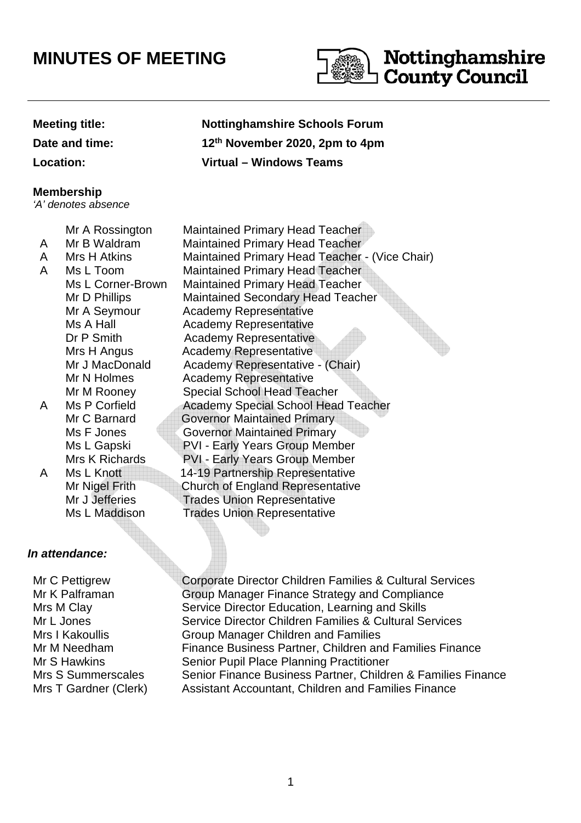# **MINUTES OF MEETING**



#### **Meeting title: Nottinghamshire Schools Forum**

**Date and time:** 

#### **Membership**

'A' denotes absence

- A
- 
- 
- 

## **In attendance:**

Mr C Pettigrew Mr K Palframan Mrs M Clay Mr L Jones Mrs I Kakoullis Mr M Needham Mr S Hawkins

**th November 2020, 2pm to 4pm Location: Virtual – Windows Teams**

Mr A Rossington Maintained Primary Head Teacher Mr B Waldram Maintained Primary Head Teacher A Mrs H Atkins Maintained Primary Head Teacher - (Vice Chair) A Ms L Toom Maintained Primary Head Teacher Ms L Corner-Brown Maintained Primary Head Teacher Mr D Phillips Maintained Secondary Head Teacher Mr A Seymour Academy Representative Ms A Hall **Academy Representative** Dr P Smith Academy Representative Mrs H Angus **Academy Representative** Mr J MacDonald Academy Representative - (Chair) Mr N Holmes Academy Representative Mr M Rooney Special School Head Teacher A Ms P Corfield Academy Special School Head Teacher Mr C Barnard **Governor Maintained Primary** Ms F Jones **Governor Maintained Primary** Ms L Gapski PVI - Early Years Group Member Mrs K Richards PVI - Early Years Group Member A Ms L Knott 14-19 Partnership Representative Mr Nigel Frith Church of England Representative<br>Mr. J. Jefferies Trades Union Representative **Trades Union Representative** Ms L Maddison Trades Union Representative

Corporate Director Children Families & Cultural Services Group Manager Finance Strategy and Compliance Service Director Education, Learning and Skills Service Director Children Families & Cultural Services Group Manager Children and Families Finance Business Partner, Children and Families Finance Senior Pupil Place Planning Practitioner Mrs S Summerscales Senior Finance Business Partner, Children & Families Finance Mrs T Gardner (Clerk) Assistant Accountant, Children and Families Finance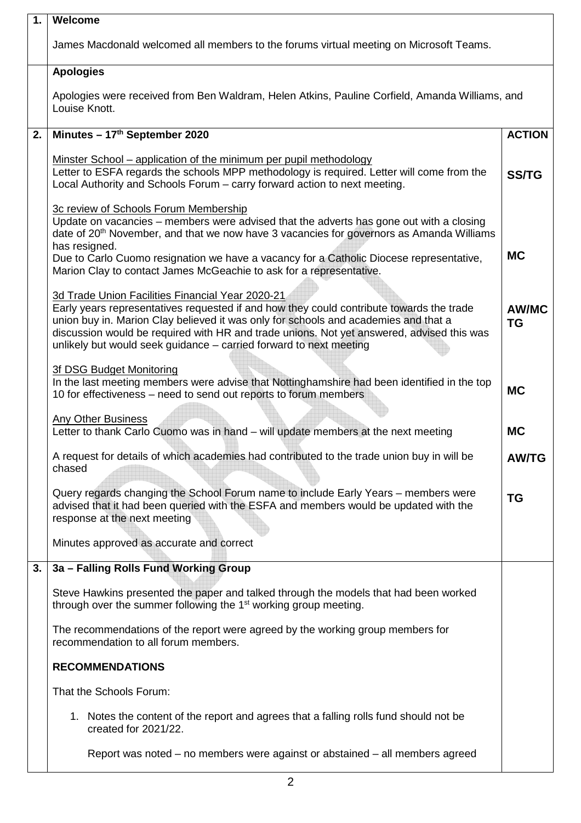| $\mathbf{1}$ . | Welcome                                                                                                                                                                                                                                                   |              |  |  |  |  |
|----------------|-----------------------------------------------------------------------------------------------------------------------------------------------------------------------------------------------------------------------------------------------------------|--------------|--|--|--|--|
|                | James Macdonald welcomed all members to the forums virtual meeting on Microsoft Teams.                                                                                                                                                                    |              |  |  |  |  |
|                | <b>Apologies</b>                                                                                                                                                                                                                                          |              |  |  |  |  |
|                | Apologies were received from Ben Waldram, Helen Atkins, Pauline Corfield, Amanda Williams, and<br>Louise Knott.                                                                                                                                           |              |  |  |  |  |
| 2.             | Minutes - 17th September 2020                                                                                                                                                                                                                             |              |  |  |  |  |
|                | <u>Minster School – application of the minimum per pupil methodology</u><br>Letter to ESFA regards the schools MPP methodology is required. Letter will come from the<br>Local Authority and Schools Forum - carry forward action to next meeting.        | <b>SS/TG</b> |  |  |  |  |
|                | 3c review of Schools Forum Membership<br>Update on vacancies - members were advised that the adverts has gone out with a closing<br>date of 20 <sup>th</sup> November, and that we now have 3 vacancies for governors as Amanda Williams<br>has resigned. |              |  |  |  |  |
|                | Due to Carlo Cuomo resignation we have a vacancy for a Catholic Diocese representative,<br>Marion Clay to contact James McGeachie to ask for a representative.                                                                                            |              |  |  |  |  |
|                | 3d Trade Union Facilities Financial Year 2020-21<br>Early years representatives requested if and how they could contribute towards the trade<br>union buy in. Marion Clay believed it was only for schools and academies and that a                       |              |  |  |  |  |
|                | discussion would be required with HR and trade unions. Not yet answered, advised this was<br>unlikely but would seek guidance - carried forward to next meeting                                                                                           |              |  |  |  |  |
|                | 3f DSG Budget Monitoring<br>In the last meeting members were advise that Nottinghamshire had been identified in the top<br>10 for effectiveness - need to send out reports to forum members                                                               |              |  |  |  |  |
|                | <b>Any Other Business</b><br>Letter to thank Carlo Cuomo was in hand - will update members at the next meeting                                                                                                                                            |              |  |  |  |  |
|                | A request for details of which academies had contributed to the trade union buy in will be<br>chased                                                                                                                                                      |              |  |  |  |  |
|                | Query regards changing the School Forum name to include Early Years - members were<br>advised that it had been queried with the ESFA and members would be updated with the<br>response at the next meeting                                                |              |  |  |  |  |
|                | Minutes approved as accurate and correct                                                                                                                                                                                                                  |              |  |  |  |  |
| 3.             | 3a - Falling Rolls Fund Working Group                                                                                                                                                                                                                     |              |  |  |  |  |
|                | Steve Hawkins presented the paper and talked through the models that had been worked<br>through over the summer following the 1 <sup>st</sup> working group meeting.                                                                                      |              |  |  |  |  |
|                | The recommendations of the report were agreed by the working group members for<br>recommendation to all forum members.                                                                                                                                    |              |  |  |  |  |
|                | <b>RECOMMENDATIONS</b>                                                                                                                                                                                                                                    |              |  |  |  |  |
|                | That the Schools Forum:                                                                                                                                                                                                                                   |              |  |  |  |  |
|                | 1. Notes the content of the report and agrees that a falling rolls fund should not be<br>created for 2021/22.                                                                                                                                             |              |  |  |  |  |
|                | Report was noted – no members were against or abstained – all members agreed                                                                                                                                                                              |              |  |  |  |  |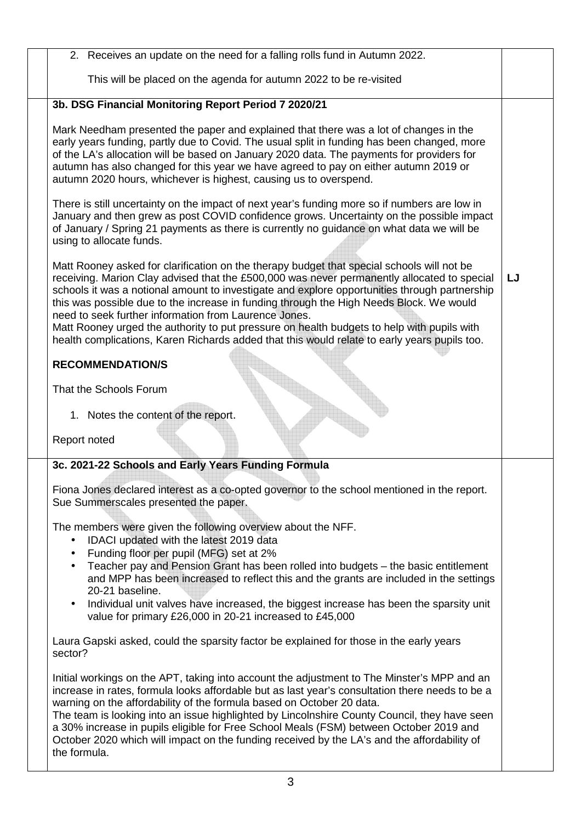2. Receives an update on the need for a falling rolls fund in Autumn 2022. This will be placed on the agenda for autumn 2022 to be re-visited **3b. DSG Financial Monitoring Report Period 7 2020/21**  Mark Needham presented the paper and explained that there was a lot of changes in the early years funding, partly due to Covid. The usual split in funding has been changed, more of the LA's allocation will be based on January 2020 data. The payments for providers for autumn has also changed for this year we have agreed to pay on either autumn 2019 or autumn 2020 hours, whichever is highest, causing us to overspend. There is still uncertainty on the impact of next year's funding more so if numbers are low in January and then grew as post COVID confidence grows. Uncertainty on the possible impact of January / Spring 21 payments as there is currently no guidance on what data we will be using to allocate funds. Matt Rooney asked for clarification on the therapy budget that special schools will not be receiving. Marion Clay advised that the £500,000 was never permanently allocated to special schools it was a notional amount to investigate and explore opportunities through partnership this was possible due to the increase in funding through the High Needs Block. We would need to seek further information from Laurence Jones. Matt Rooney urged the authority to put pressure on health budgets to help with pupils with health complications, Karen Richards added that this would relate to early years pupils too. **RECOMMENDATION/S**  That the Schools Forum 1. Notes the content of the report. Report noted **LJ 3c. 2021-22 Schools and Early Years Funding Formula** Fiona Jones declared interest as a co-opted governor to the school mentioned in the report. Sue Summerscales presented the paper. The members were given the following overview about the NFF. • IDACI updated with the latest 2019 data • Funding floor per pupil (MFG) set at 2% • Teacher pay and Pension Grant has been rolled into budgets – the basic entitlement and MPP has been increased to reflect this and the grants are included in the settings 20-21 baseline. • Individual unit valves have increased, the biggest increase has been the sparsity unit value for primary £26,000 in 20-21 increased to £45,000 Laura Gapski asked, could the sparsity factor be explained for those in the early years sector? Initial workings on the APT, taking into account the adjustment to The Minster's MPP and an increase in rates, formula looks affordable but as last year's consultation there needs to be a warning on the affordability of the formula based on October 20 data. The team is looking into an issue highlighted by Lincolnshire County Council, they have seen a 30% increase in pupils eligible for Free School Meals (FSM) between October 2019 and October 2020 which will impact on the funding received by the LA's and the affordability of the formula.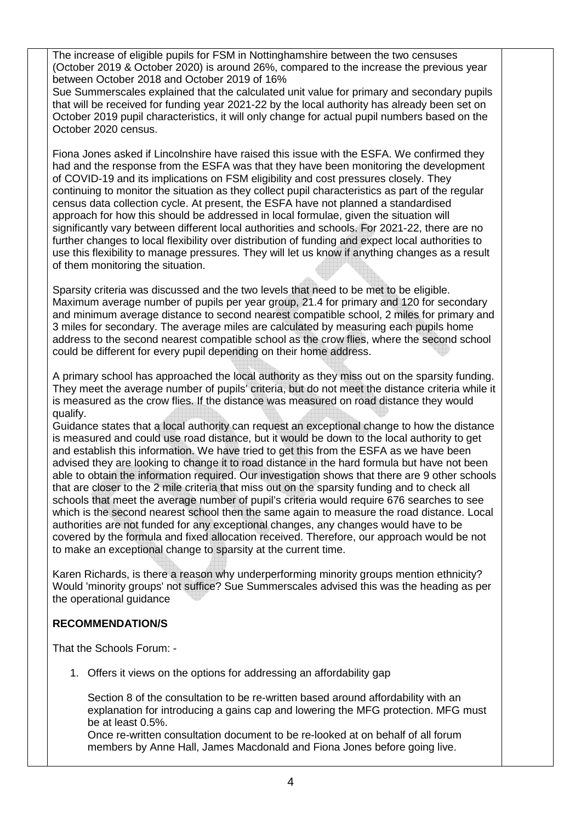The increase of eligible pupils for FSM in Nottinghamshire between the two censuses (October 2019 & October 2020) is around 26%, compared to the increase the previous year between October 2018 and October 2019 of 16%

Sue Summerscales explained that the calculated unit value for primary and secondary pupils that will be received for funding year 2021-22 by the local authority has already been set on October 2019 pupil characteristics, it will only change for actual pupil numbers based on the October 2020 census.

Fiona Jones asked if Lincolnshire have raised this issue with the ESFA. We confirmed they had and the response from the ESFA was that they have been monitoring the development of COVID-19 and its implications on FSM eligibility and cost pressures closely. They continuing to monitor the situation as they collect pupil characteristics as part of the regular census data collection cycle. At present, the ESFA have not planned a standardised approach for how this should be addressed in local formulae, given the situation will significantly vary between different local authorities and schools. For 2021-22, there are no further changes to local flexibility over distribution of funding and expect local authorities to use this flexibility to manage pressures. They will let us know if anything changes as a result of them monitoring the situation.

Sparsity criteria was discussed and the two levels that need to be met to be eligible. Maximum average number of pupils per year group, 21.4 for primary and 120 for secondary and minimum average distance to second nearest compatible school, 2 miles for primary and 3 miles for secondary. The average miles are calculated by measuring each pupils home address to the second nearest compatible school as the crow flies, where the second school could be different for every pupil depending on their home address.

A primary school has approached the local authority as they miss out on the sparsity funding. They meet the average number of pupils' criteria, but do not meet the distance criteria while it is measured as the crow flies. If the distance was measured on road distance they would qualify.

Guidance states that a local authority can request an exceptional change to how the distance is measured and could use road distance, but it would be down to the local authority to get and establish this information. We have tried to get this from the ESFA as we have been advised they are looking to change it to road distance in the hard formula but have not been able to obtain the information required. Our investigation shows that there are 9 other schools that are closer to the 2 mile criteria that miss out on the sparsity funding and to check all schools that meet the average number of pupil's criteria would require 676 searches to see which is the second nearest school then the same again to measure the road distance. Local authorities are not funded for any exceptional changes, any changes would have to be covered by the formula and fixed allocation received. Therefore, our approach would be not to make an exceptional change to sparsity at the current time.

Karen Richards, is there a reason why underperforming minority groups mention ethnicity? Would 'minority groups' not suffice? Sue Summerscales advised this was the heading as per the operational guidance

## **RECOMMENDATION/S**

That the Schools Forum: -

1. Offers it views on the options for addressing an affordability gap

Section 8 of the consultation to be re-written based around affordability with an explanation for introducing a gains cap and lowering the MFG protection. MFG must be at least 0.5%.

Once re-written consultation document to be re-looked at on behalf of all forum members by Anne Hall, James Macdonald and Fiona Jones before going live.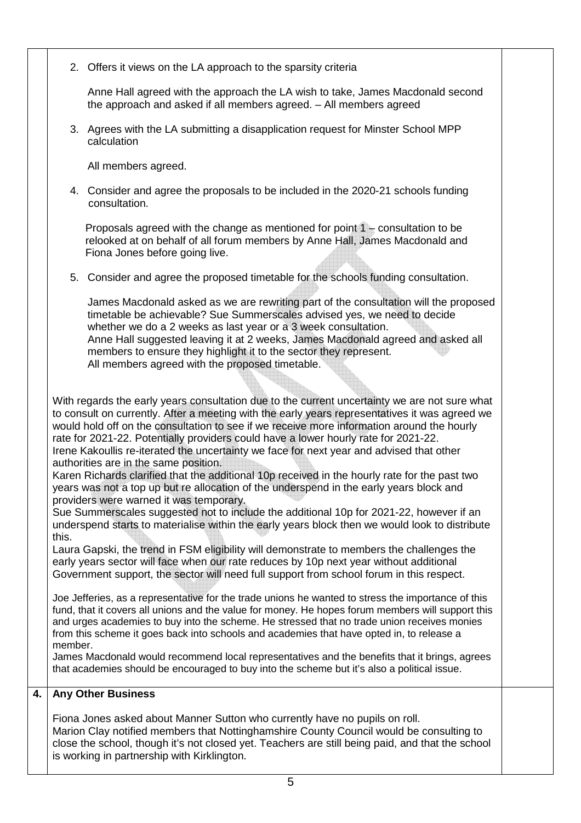2. Offers it views on the LA approach to the sparsity criteria

Anne Hall agreed with the approach the LA wish to take, James Macdonald second the approach and asked if all members agreed. – All members agreed

3. Agrees with the LA submitting a disapplication request for Minster School MPP calculation

All members agreed.

4. Consider and agree the proposals to be included in the 2020-21 schools funding consultation.

 Proposals agreed with the change as mentioned for point 1 – consultation to be relooked at on behalf of all forum members by Anne Hall, James Macdonald and Fiona Jones before going live.

5. Consider and agree the proposed timetable for the schools funding consultation.

James Macdonald asked as we are rewriting part of the consultation will the proposed timetable be achievable? Sue Summerscales advised yes, we need to decide whether we do a 2 weeks as last year or a 3 week consultation. Anne Hall suggested leaving it at 2 weeks, James Macdonald agreed and asked all members to ensure they highlight it to the sector they represent. All members agreed with the proposed timetable.

With regards the early years consultation due to the current uncertainty we are not sure what to consult on currently. After a meeting with the early years representatives it was agreed we would hold off on the consultation to see if we receive more information around the hourly rate for 2021-22. Potentially providers could have a lower hourly rate for 2021-22. Irene Kakoullis re-iterated the uncertainty we face for next year and advised that other authorities are in the same position.

Karen Richards clarified that the additional 10p received in the hourly rate for the past two years was not a top up but re allocation of the underspend in the early years block and providers were warned it was temporary.

Sue Summerscales suggested not to include the additional 10p for 2021-22, however if an underspend starts to materialise within the early years block then we would look to distribute this.

Laura Gapski, the trend in FSM eligibility will demonstrate to members the challenges the early years sector will face when our rate reduces by 10p next year without additional Government support, the sector will need full support from school forum in this respect.

Joe Jefferies, as a representative for the trade unions he wanted to stress the importance of this fund, that it covers all unions and the value for money. He hopes forum members will support this and urges academies to buy into the scheme. He stressed that no trade union receives monies from this scheme it goes back into schools and academies that have opted in, to release a member.

James Macdonald would recommend local representatives and the benefits that it brings, agrees that academies should be encouraged to buy into the scheme but it's also a political issue.

## **4. Any Other Business**

Fiona Jones asked about Manner Sutton who currently have no pupils on roll. Marion Clay notified members that Nottinghamshire County Council would be consulting to close the school, though it's not closed yet. Teachers are still being paid, and that the school is working in partnership with Kirklington.